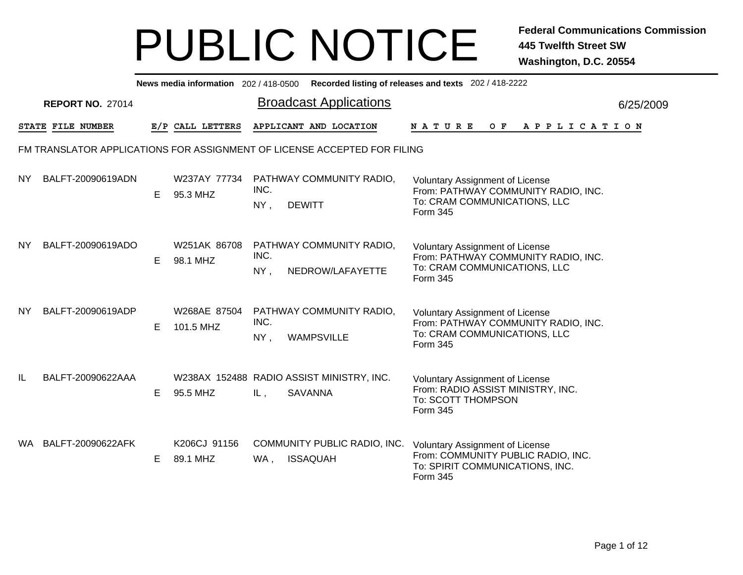|           |                                                                          |    |                           |                                 | News media information 202/418-0500 Recorded listing of releases and texts 202/418-2222 |                                                                                                                             |  |     |  |  |                       |  |           |
|-----------|--------------------------------------------------------------------------|----|---------------------------|---------------------------------|-----------------------------------------------------------------------------------------|-----------------------------------------------------------------------------------------------------------------------------|--|-----|--|--|-----------------------|--|-----------|
|           | <b>REPORT NO. 27014</b>                                                  |    |                           |                                 | <b>Broadcast Applications</b>                                                           |                                                                                                                             |  |     |  |  |                       |  | 6/25/2009 |
|           | STATE FILE NUMBER                                                        |    | E/P CALL LETTERS          |                                 | APPLICANT AND LOCATION                                                                  | <b>NATURE</b>                                                                                                               |  | O F |  |  | A P P L I C A T I O N |  |           |
|           | FM TRANSLATOR APPLICATIONS FOR ASSIGNMENT OF LICENSE ACCEPTED FOR FILING |    |                           |                                 |                                                                                         |                                                                                                                             |  |     |  |  |                       |  |           |
| <b>NY</b> | BALFT-20090619ADN                                                        | E. | W237AY 77734<br>95.3 MHZ  | INC.<br>$NY$ ,<br><b>DEWITT</b> | PATHWAY COMMUNITY RADIO,                                                                | <b>Voluntary Assignment of License</b><br>From: PATHWAY COMMUNITY RADIO, INC.<br>To: CRAM COMMUNICATIONS, LLC<br>Form 345   |  |     |  |  |                       |  |           |
| NY.       | BALFT-20090619ADO                                                        | Е  | W251AK 86708<br>98.1 MHZ  | INC.<br>NY,                     | PATHWAY COMMUNITY RADIO,<br>NEDROW/LAFAYETTE                                            | <b>Voluntary Assignment of License</b><br>From: PATHWAY COMMUNITY RADIO, INC.<br>To: CRAM COMMUNICATIONS, LLC<br>Form 345   |  |     |  |  |                       |  |           |
| <b>NY</b> | BALFT-20090619ADP                                                        | Е  | W268AE 87504<br>101.5 MHZ | INC.<br>NY,                     | PATHWAY COMMUNITY RADIO,<br><b>WAMPSVILLE</b>                                           | <b>Voluntary Assignment of License</b><br>From: PATHWAY COMMUNITY RADIO, INC.<br>To: CRAM COMMUNICATIONS, LLC<br>Form 345   |  |     |  |  |                       |  |           |
| IL        | BALFT-20090622AAA                                                        | Е  | 95.5 MHZ                  | IL,                             | W238AX 152488 RADIO ASSIST MINISTRY, INC.<br><b>SAVANNA</b>                             | <b>Voluntary Assignment of License</b><br>From: RADIO ASSIST MINISTRY, INC.<br>To: SCOTT THOMPSON<br>Form 345               |  |     |  |  |                       |  |           |
| WA.       | BALFT-20090622AFK                                                        | E  | K206CJ 91156<br>89.1 MHZ  | WA,                             | COMMUNITY PUBLIC RADIO, INC.<br><b>ISSAQUAH</b>                                         | <b>Voluntary Assignment of License</b><br>From: COMMUNITY PUBLIC RADIO, INC.<br>To: SPIRIT COMMUNICATIONS, INC.<br>Form 345 |  |     |  |  |                       |  |           |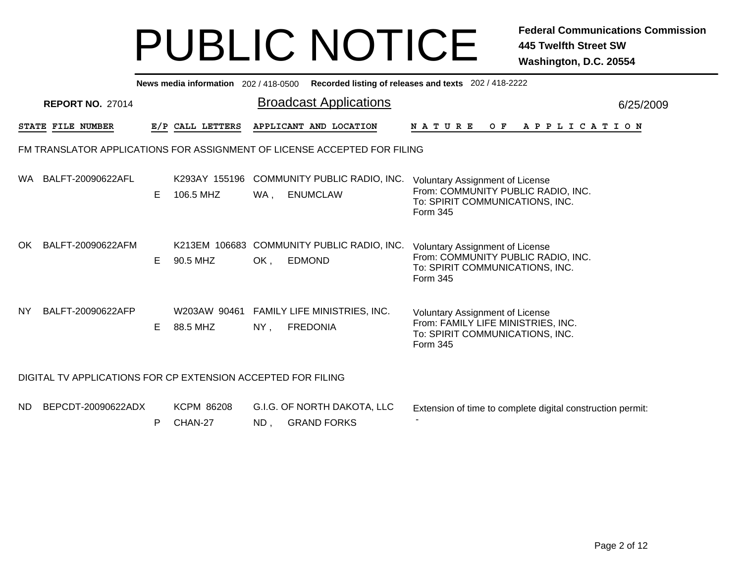|     |                                                              |    |                              |      | News media information 202/418-0500 Recorded listing of releases and texts 202/418-2222 |                                                                                                                             |
|-----|--------------------------------------------------------------|----|------------------------------|------|-----------------------------------------------------------------------------------------|-----------------------------------------------------------------------------------------------------------------------------|
|     | <b>REPORT NO. 27014</b>                                      |    |                              |      | <b>Broadcast Applications</b>                                                           | 6/25/2009                                                                                                                   |
|     | STATE FILE NUMBER                                            |    | E/P CALL LETTERS             |      | APPLICANT AND LOCATION                                                                  | N A T U R E<br>O F<br>A P P L I C A T I O N                                                                                 |
|     |                                                              |    |                              |      | FM TRANSLATOR APPLICATIONS FOR ASSIGNMENT OF LICENSE ACCEPTED FOR FILING                |                                                                                                                             |
|     | WA BALFT-20090622AFL                                         | E. | 106.5 MHZ                    | WA , | K293AY 155196 COMMUNITY PUBLIC RADIO, INC.<br><b>ENUMCLAW</b>                           | <b>Voluntary Assignment of License</b><br>From: COMMUNITY PUBLIC RADIO, INC.<br>To: SPIRIT COMMUNICATIONS, INC.<br>Form 345 |
| OK. | BALFT-20090622AFM                                            | E. | 90.5 MHZ                     | OK,  | K213EM 106683 COMMUNITY PUBLIC RADIO, INC.<br><b>EDMOND</b>                             | <b>Voluntary Assignment of License</b><br>From: COMMUNITY PUBLIC RADIO, INC.<br>To: SPIRIT COMMUNICATIONS, INC.<br>Form 345 |
| NY. | BALFT-20090622AFP                                            | E. | 88.5 MHZ                     | NY,  | W203AW 90461 FAMILY LIFE MINISTRIES, INC.<br><b>FREDONIA</b>                            | <b>Voluntary Assignment of License</b><br>From: FAMILY LIFE MINISTRIES, INC.<br>To: SPIRIT COMMUNICATIONS, INC.<br>Form 345 |
|     | DIGITAL TV APPLICATIONS FOR CP EXTENSION ACCEPTED FOR FILING |    |                              |      |                                                                                         |                                                                                                                             |
| ND. | BEPCDT-20090622ADX                                           | P  | <b>KCPM 86208</b><br>CHAN-27 | ND,  | G.I.G. OF NORTH DAKOTA, LLC<br><b>GRAND FORKS</b>                                       | Extension of time to complete digital construction permit:                                                                  |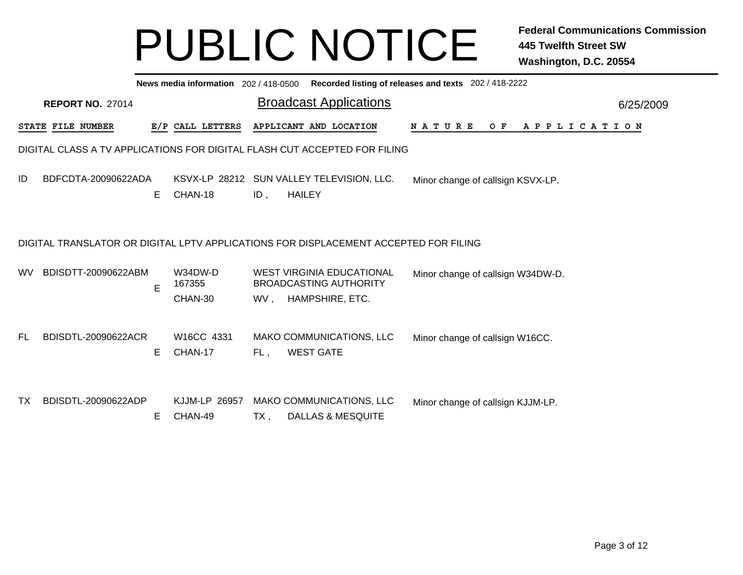|     |                   |                         |    |                              |     |               | News media information 202/418-0500 Recorded listing of releases and texts 202/418-2222  |  |  |  |                                   |  |  |                       |  |           |
|-----|-------------------|-------------------------|----|------------------------------|-----|---------------|------------------------------------------------------------------------------------------|--|--|--|-----------------------------------|--|--|-----------------------|--|-----------|
|     |                   | <b>REPORT NO. 27014</b> |    |                              |     |               | <b>Broadcast Applications</b>                                                            |  |  |  |                                   |  |  |                       |  | 6/25/2009 |
|     | STATE FILE NUMBER |                         |    | E/P CALL LETTERS             |     |               | APPLICANT AND LOCATION                                                                   |  |  |  |                                   |  |  | NATURE OF APPLICATION |  |           |
|     |                   |                         |    |                              |     |               | DIGITAL CLASS A TV APPLICATIONS FOR DIGITAL FLASH CUT ACCEPTED FOR FILING                |  |  |  |                                   |  |  |                       |  |           |
| ID  |                   | BDFCDTA-20090622ADA     | E. | CHAN-18                      | ID, | <b>HAILEY</b> | KSVX-LP 28212 SUN VALLEY TELEVISION, LLC.                                                |  |  |  | Minor change of callsign KSVX-LP. |  |  |                       |  |           |
|     |                   |                         |    |                              |     |               | DIGITAL TRANSLATOR OR DIGITAL LPTV APPLICATIONS FOR DISPLACEMENT ACCEPTED FOR FILING     |  |  |  |                                   |  |  |                       |  |           |
| WV. |                   | BDISDTT-20090622ABM     | E  | W34DW-D<br>167355<br>CHAN-30 |     |               | <b>WEST VIRGINIA EDUCATIONAL</b><br><b>BROADCASTING AUTHORITY</b><br>WV, HAMPSHIRE, ETC. |  |  |  | Minor change of callsign W34DW-D. |  |  |                       |  |           |
| FL. |                   | BDISDTL-20090622ACR     | Е  | W16CC 4331<br>CHAN-17        | FL, |               | MAKO COMMUNICATIONS, LLC<br><b>WEST GATE</b>                                             |  |  |  | Minor change of callsign W16CC.   |  |  |                       |  |           |
| TX  |                   | BDISDTL-20090622ADP     | Е  | KJJM-LP 26957<br>CHAN-49     | TX, |               | MAKO COMMUNICATIONS, LLC<br><b>DALLAS &amp; MESQUITE</b>                                 |  |  |  | Minor change of callsign KJJM-LP. |  |  |                       |  |           |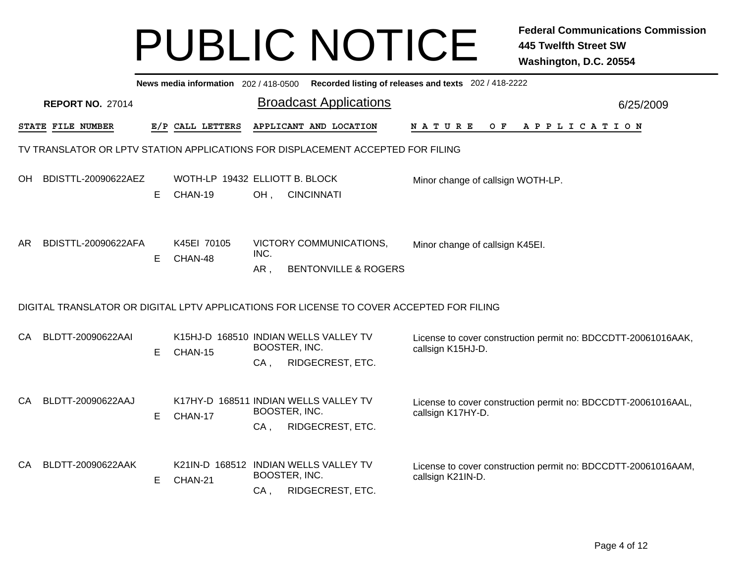|     |                         |   |                                           |                         |                                                                                          | News media information 202 / 418-0500 Recorded listing of releases and texts 202 / 418-2222 |           |
|-----|-------------------------|---|-------------------------------------------|-------------------------|------------------------------------------------------------------------------------------|---------------------------------------------------------------------------------------------|-----------|
|     | <b>REPORT NO. 27014</b> |   |                                           |                         | <b>Broadcast Applications</b>                                                            |                                                                                             | 6/25/2009 |
|     | STATE FILE NUMBER       |   | E/P CALL LETTERS                          |                         | APPLICANT AND LOCATION                                                                   | N A T U R E<br>O F<br>A P P L I C A T I O N                                                 |           |
|     |                         |   |                                           |                         | TV TRANSLATOR OR LPTV STATION APPLICATIONS FOR DISPLACEMENT ACCEPTED FOR FILING          |                                                                                             |           |
| OH. | BDISTTL-20090622AEZ     | E | WOTH-LP 19432 ELLIOTT B. BLOCK<br>CHAN-19 | OH,                     | <b>CINCINNATI</b>                                                                        | Minor change of callsign WOTH-LP.                                                           |           |
| AR. | BDISTTL-20090622AFA     | Е | K45EI 70105<br>CHAN-48                    | INC.<br>$AR$ ,          | VICTORY COMMUNICATIONS,<br><b>BENTONVILLE &amp; ROGERS</b>                               | Minor change of callsign K45EI.                                                             |           |
|     |                         |   |                                           |                         | DIGITAL TRANSLATOR OR DIGITAL LPTV APPLICATIONS FOR LICENSE TO COVER ACCEPTED FOR FILING |                                                                                             |           |
| CA  | BLDTT-20090622AAI       | Е | CHAN-15                                   | BOOSTER, INC.<br>$CA$ , | K15HJ-D 168510 INDIAN WELLS VALLEY TV<br>RIDGECREST, ETC.                                | License to cover construction permit no: BDCCDTT-20061016AAK,<br>callsign K15HJ-D.          |           |
| CA  | BLDTT-20090622AAJ       | E | CHAN-17                                   | BOOSTER, INC.<br>$CA$ . | K17HY-D 168511 INDIAN WELLS VALLEY TV<br>RIDGECREST, ETC.                                | License to cover construction permit no: BDCCDTT-20061016AAL,<br>callsign K17HY-D.          |           |
| CA  | BLDTT-20090622AAK       | Е | CHAN-21                                   | BOOSTER, INC.<br>$CA$ , | K21IN-D 168512 INDIAN WELLS VALLEY TV<br>RIDGECREST, ETC.                                | License to cover construction permit no: BDCCDTT-20061016AAM,<br>callsign K21IN-D.          |           |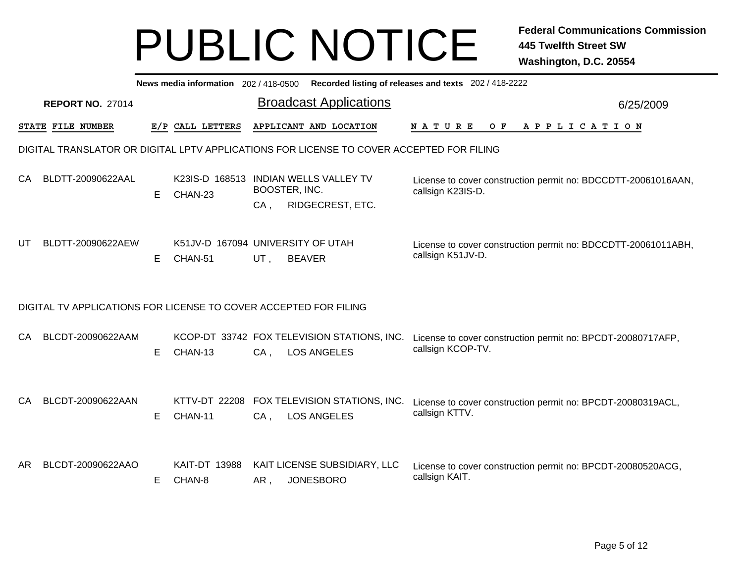|    |                         |    | News media information 202/418-0500          |        |                                                                                          | Recorded listing of releases and texts 202 / 418-2222                              |           |
|----|-------------------------|----|----------------------------------------------|--------|------------------------------------------------------------------------------------------|------------------------------------------------------------------------------------|-----------|
|    | <b>REPORT NO. 27014</b> |    |                                              |        | <b>Broadcast Applications</b>                                                            |                                                                                    | 6/25/2009 |
|    | STATE FILE NUMBER       |    | E/P CALL LETTERS                             |        | APPLICANT AND LOCATION                                                                   | <b>NATURE</b><br>O F<br>A P P L I C A T I O N                                      |           |
|    |                         |    |                                              |        | DIGITAL TRANSLATOR OR DIGITAL LPTV APPLICATIONS FOR LICENSE TO COVER ACCEPTED FOR FILING |                                                                                    |           |
| CA | BLDTT-20090622AAL       | Е  | CHAN-23                                      | $CA$ , | K23IS-D 168513 INDIAN WELLS VALLEY TV<br>BOOSTER, INC.<br>RIDGECREST, ETC.               | License to cover construction permit no: BDCCDTT-20061016AAN,<br>callsign K23IS-D. |           |
| UT | BLDTT-20090622AEW       | E. | K51JV-D 167094 UNIVERSITY OF UTAH<br>CHAN-51 | UT,    | <b>BEAVER</b>                                                                            | License to cover construction permit no: BDCCDTT-20061011ABH,<br>callsign K51JV-D. |           |
|    |                         |    |                                              |        | DIGITAL TV APPLICATIONS FOR LICENSE TO COVER ACCEPTED FOR FILING                         |                                                                                    |           |
| CA | BLCDT-20090622AAM       | E. | CHAN-13                                      | $CA$ , | KCOP-DT 33742 FOX TELEVISION STATIONS, INC.<br><b>LOS ANGELES</b>                        | License to cover construction permit no: BPCDT-20080717AFP,<br>callsign KCOP-TV.   |           |
| CA | BLCDT-20090622AAN       | E. | KTTV-DT 22208<br>CHAN-11                     | $CA$ , | FOX TELEVISION STATIONS, INC.<br><b>LOS ANGELES</b>                                      | License to cover construction permit no: BPCDT-20080319ACL,<br>callsign KTTV.      |           |
| AR | BLCDT-20090622AAO       | E. | KAIT-DT 13988<br>CHAN-8                      | AR,    | KAIT LICENSE SUBSIDIARY, LLC<br><b>JONESBORO</b>                                         | License to cover construction permit no: BPCDT-20080520ACG,<br>callsign KAIT.      |           |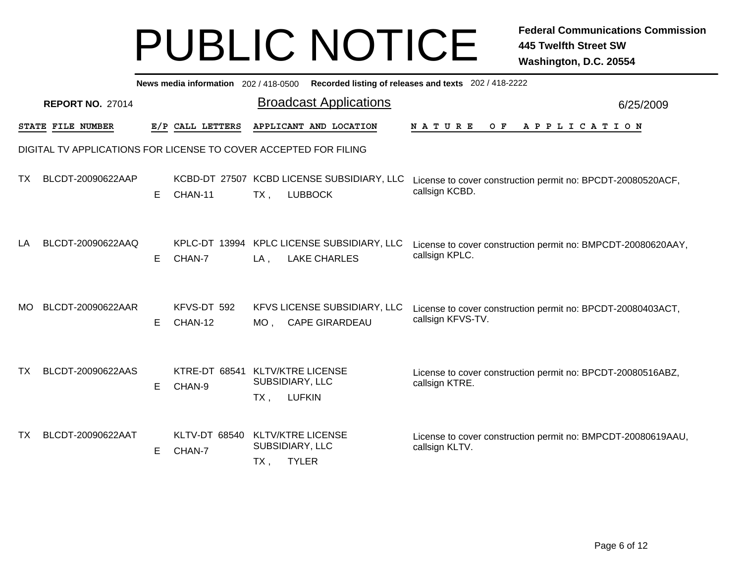|     |                         |    |                                | News media information 202 / 418-0500 Recorded listing of releases and texts 202 / 418-2222                                                             |           |
|-----|-------------------------|----|--------------------------------|---------------------------------------------------------------------------------------------------------------------------------------------------------|-----------|
|     | <b>REPORT NO. 27014</b> |    |                                | <b>Broadcast Applications</b>                                                                                                                           | 6/25/2009 |
|     | STATE FILE NUMBER       |    | E/P CALL LETTERS               | APPLICANT AND LOCATION<br>APPLICATION<br><b>NATURE</b><br>O F                                                                                           |           |
|     |                         |    |                                | DIGITAL TV APPLICATIONS FOR LICENSE TO COVER ACCEPTED FOR FILING                                                                                        |           |
| TX. | BLCDT-20090622AAP       | Е  | CHAN-11                        | KCBD-DT 27507 KCBD LICENSE SUBSIDIARY, LLC<br>License to cover construction permit no: BPCDT-20080520ACF,<br>callsign KCBD.<br>$TX$ ,<br><b>LUBBOCK</b> |           |
| LA  | BLCDT-20090622AAQ       | E  | KPLC-DT 13994<br>CHAN-7        | KPLC LICENSE SUBSIDIARY, LLC<br>License to cover construction permit no: BMPCDT-20080620AAY,<br>callsign KPLC.<br><b>LAKE CHARLES</b><br>$LA$ ,         |           |
| MO. | BLCDT-20090622AAR       | Е  | KFVS-DT 592<br>CHAN-12         | KFVS LICENSE SUBSIDIARY, LLC<br>License to cover construction permit no: BPCDT-20080403ACT,<br>callsign KFVS-TV.<br><b>CAPE GIRARDEAU</b><br>$MO$ ,     |           |
| тχ  | BLCDT-20090622AAS       | E. | <b>KTRE-DT 68541</b><br>CHAN-9 | <b>KLTV/KTRE LICENSE</b><br>License to cover construction permit no: BPCDT-20080516ABZ,<br>SUBSIDIARY, LLC<br>callsign KTRE.<br><b>LUFKIN</b><br>$TX$ , |           |
| TX. | BLCDT-20090622AAT       | Е  | <b>KLTV-DT 68540</b><br>CHAN-7 | <b>KLTV/KTRE LICENSE</b><br>License to cover construction permit no: BMPCDT-20080619AAU,<br>SUBSIDIARY, LLC<br>callsign KLTV.<br><b>TYLER</b><br>TX,    |           |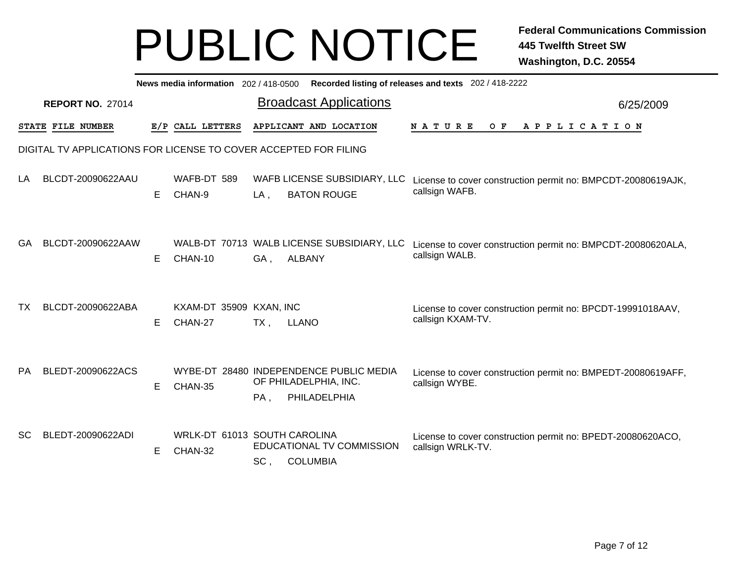|           |                         |   |                                    | News media information 202 / 418-0500 Recorded listing of releases and texts 202 / 418-2222                                                                                  |           |
|-----------|-------------------------|---|------------------------------------|------------------------------------------------------------------------------------------------------------------------------------------------------------------------------|-----------|
|           | <b>REPORT NO. 27014</b> |   |                                    | <b>Broadcast Applications</b>                                                                                                                                                | 6/25/2009 |
|           | STATE FILE NUMBER       |   | E/P CALL LETTERS                   | APPLICANT AND LOCATION<br><b>NATURE</b><br>O F<br>A P P L I C A T I O N                                                                                                      |           |
|           |                         |   |                                    | DIGITAL TV APPLICATIONS FOR LICENSE TO COVER ACCEPTED FOR FILING                                                                                                             |           |
| LA        | BLCDT-20090622AAU       | Е | WAFB-DT 589<br>CHAN-9              | WAFB LICENSE SUBSIDIARY, LLC<br>License to cover construction permit no: BMPCDT-20080619AJK,<br>callsign WAFB.<br><b>BATON ROUGE</b><br>$LA$ ,                               |           |
| GA        | BLCDT-20090622AAW       | Е | CHAN-10                            | WALB-DT 70713 WALB LICENSE SUBSIDIARY, LLC<br>License to cover construction permit no: BMPCDT-20080620ALA,<br>callsign WALB.<br><b>ALBANY</b><br>GA,                         |           |
| ТX        | BLCDT-20090622ABA       | Е | KXAM-DT 35909 KXAN, INC<br>CHAN-27 | License to cover construction permit no: BPCDT-19991018AAV,<br>callsign KXAM-TV.<br>$TX$ .<br><b>LLANO</b>                                                                   |           |
| <b>PA</b> | BLEDT-20090622ACS       | E | CHAN-35                            | WYBE-DT 28480 INDEPENDENCE PUBLIC MEDIA<br>License to cover construction permit no: BMPEDT-20080619AFF,<br>OF PHILADELPHIA, INC.<br>callsign WYBE.<br>PHILADELPHIA<br>$PA$ . |           |
| <b>SC</b> | BLEDT-20090622ADI       | Е | CHAN-32                            | WRLK-DT 61013 SOUTH CAROLINA<br>License to cover construction permit no: BPEDT-20080620ACO,<br>EDUCATIONAL TV COMMISSION<br>callsign WRLK-TV.<br><b>COLUMBIA</b><br>SC,      |           |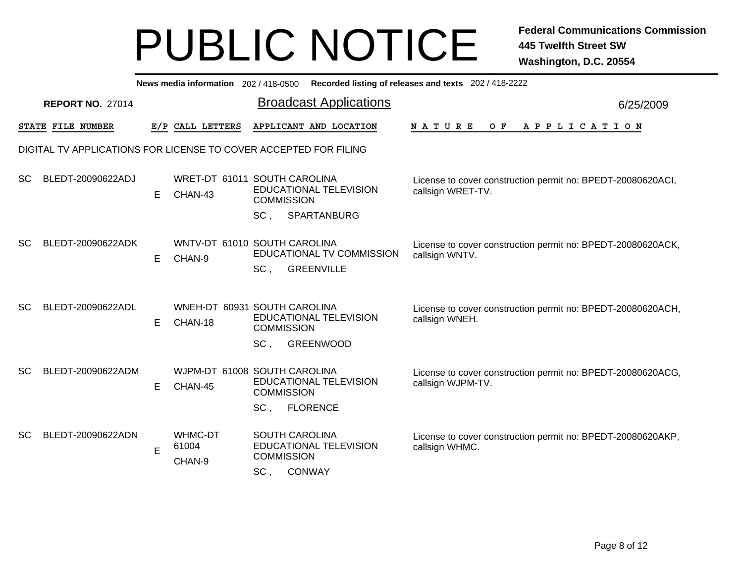|               |                         |   | News media information 202 / 418-0500 | Recorded listing of releases and texts 202 / 418-2222                                                                                                                                     |           |
|---------------|-------------------------|---|---------------------------------------|-------------------------------------------------------------------------------------------------------------------------------------------------------------------------------------------|-----------|
|               | <b>REPORT NO. 27014</b> |   |                                       | <b>Broadcast Applications</b>                                                                                                                                                             | 6/25/2009 |
|               | STATE FILE NUMBER       |   | E/P CALL LETTERS                      | APPLICANT AND LOCATION<br>NATURE<br>A P P L I C A T I O N<br>O F                                                                                                                          |           |
|               |                         |   |                                       | DIGITAL TV APPLICATIONS FOR LICENSE TO COVER ACCEPTED FOR FILING                                                                                                                          |           |
| <sub>SC</sub> | BLEDT-20090622ADJ       | Е | CHAN-43                               | WRET-DT 61011 SOUTH CAROLINA<br>License to cover construction permit no: BPEDT-20080620ACI,<br>EDUCATIONAL TELEVISION<br>callsign WRET-TV.<br><b>COMMISSION</b>                           |           |
|               |                         |   |                                       | $SC$ .<br>SPARTANBURG                                                                                                                                                                     |           |
| <sub>SC</sub> | BLEDT-20090622ADK       | Е | CHAN-9                                | WNTV-DT 61010 SOUTH CAROLINA<br>License to cover construction permit no: BPEDT-20080620ACK,<br>EDUCATIONAL TV COMMISSION<br>callsign WNTV.<br>SC,<br><b>GREENVILLE</b>                    |           |
| <b>SC</b>     | BLEDT-20090622ADL       | Е | CHAN-18                               | WNEH-DT 60931 SOUTH CAROLINA<br>License to cover construction permit no: BPEDT-20080620ACH,<br>EDUCATIONAL TELEVISION<br>callsign WNEH.<br><b>COMMISSION</b><br><b>GREENWOOD</b><br>SC,   |           |
|               |                         |   |                                       |                                                                                                                                                                                           |           |
| <b>SC</b>     | BLEDT-20090622ADM       | Е | CHAN-45                               | WJPM-DT 61008 SOUTH CAROLINA<br>License to cover construction permit no: BPEDT-20080620ACG,<br>EDUCATIONAL TELEVISION<br>callsign WJPM-TV.<br><b>COMMISSION</b>                           |           |
|               |                         |   |                                       | SC <sub>1</sub><br><b>FLORENCE</b>                                                                                                                                                        |           |
| <b>SC</b>     | BLEDT-20090622ADN       | E | WHMC-DT<br>61004<br>CHAN-9            | <b>SOUTH CAROLINA</b><br>License to cover construction permit no: BPEDT-20080620AKP,<br>EDUCATIONAL TELEVISION<br>callsign WHMC.<br><b>COMMISSION</b><br>SC <sub>1</sub><br><b>CONWAY</b> |           |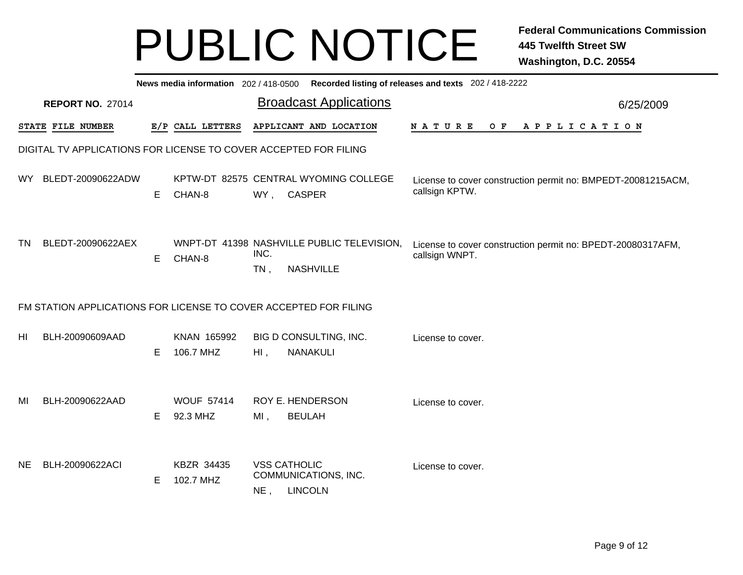|           |                                                                  |    |                               |                                |                                                                | News media information 202 / 418-0500 Recorded listing of releases and texts 202 / 418-2222 |           |
|-----------|------------------------------------------------------------------|----|-------------------------------|--------------------------------|----------------------------------------------------------------|---------------------------------------------------------------------------------------------|-----------|
|           | <b>REPORT NO. 27014</b>                                          |    |                               |                                | <b>Broadcast Applications</b>                                  |                                                                                             | 6/25/2009 |
|           | STATE FILE NUMBER                                                |    | E/P CALL LETTERS              |                                | APPLICANT AND LOCATION                                         | APPLICATION<br>N A T U R E<br>O F                                                           |           |
|           | DIGITAL TV APPLICATIONS FOR LICENSE TO COVER ACCEPTED FOR FILING |    |                               |                                |                                                                |                                                                                             |           |
| WY.       | BLEDT-20090622ADW                                                | Е  | CHAN-8                        | WY, CASPER                     | KPTW-DT 82575 CENTRAL WYOMING COLLEGE                          | License to cover construction permit no: BMPEDT-20081215ACM,<br>callsign KPTW.              |           |
| <b>TN</b> | BLEDT-20090622AEX                                                | E  | CHAN-8                        | INC.<br>$TN$ ,                 | WNPT-DT 41398 NASHVILLE PUBLIC TELEVISION,<br><b>NASHVILLE</b> | License to cover construction permit no: BPEDT-20080317AFM,<br>callsign WNPT.               |           |
|           | FM STATION APPLICATIONS FOR LICENSE TO COVER ACCEPTED FOR FILING |    |                               |                                |                                                                |                                                                                             |           |
| HI        | BLH-20090609AAD                                                  | Е  | KNAN 165992<br>106.7 MHZ      | $HI$ ,                         | BIG D CONSULTING, INC.<br>NANAKULI                             | License to cover.                                                                           |           |
| MI        | BLH-20090622AAD                                                  | E. | <b>WOUF 57414</b><br>92.3 MHZ | <b>ROY E. HENDERSON</b><br>MI, | <b>BEULAH</b>                                                  | License to cover.                                                                           |           |
| NE.       | BLH-20090622ACI                                                  | Е  | KBZR 34435<br>102.7 MHZ       | <b>VSS CATHOLIC</b><br>$NE$ ,  | COMMUNICATIONS, INC.<br><b>LINCOLN</b>                         | License to cover.                                                                           |           |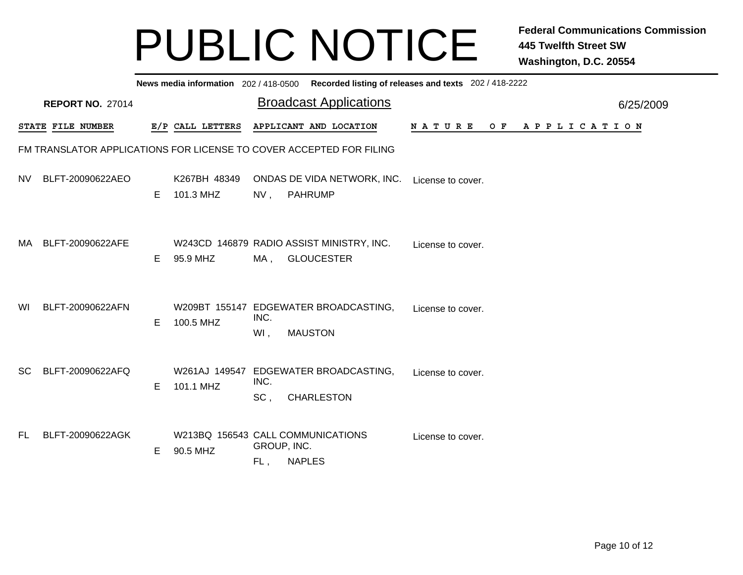|           |                                                                     |    |                                               |                    |               | News media information 202/418-0500 Recorded listing of releases and texts 202/418-2222 |                   |  |                |  |  |  |           |
|-----------|---------------------------------------------------------------------|----|-----------------------------------------------|--------------------|---------------|-----------------------------------------------------------------------------------------|-------------------|--|----------------|--|--|--|-----------|
|           | <b>REPORT NO. 27014</b>                                             |    |                                               |                    |               | <b>Broadcast Applications</b>                                                           |                   |  |                |  |  |  | 6/25/2009 |
|           | STATE FILE NUMBER                                                   |    | E/P CALL LETTERS                              |                    |               | APPLICANT AND LOCATION                                                                  | N A T U R E       |  | OF APPLICATION |  |  |  |           |
|           | FM TRANSLATOR APPLICATIONS FOR LICENSE TO COVER ACCEPTED FOR FILING |    |                                               |                    |               |                                                                                         |                   |  |                |  |  |  |           |
| NV.       | BLFT-20090622AEO                                                    | E. | K267BH 48349<br>101.3 MHZ                     | NV,                |               | ONDAS DE VIDA NETWORK, INC.<br>PAHRUMP                                                  | License to cover. |  |                |  |  |  |           |
| MA.       | BLFT-20090622AFE                                                    | E. | 95.9 MHZ                                      | MA,                |               | W243CD 146879 RADIO ASSIST MINISTRY, INC.<br><b>GLOUCESTER</b>                          | License to cover. |  |                |  |  |  |           |
| WI        | BLFT-20090622AFN                                                    | E. | 100.5 MHZ                                     | INC.<br>WI,        |               | W209BT 155147 EDGEWATER BROADCASTING,<br><b>MAUSTON</b>                                 | License to cover. |  |                |  |  |  |           |
| <b>SC</b> | BLFT-20090622AFQ                                                    | E. | 101.1 MHZ                                     | INC.<br>SC,        |               | W261AJ 149547 EDGEWATER BROADCASTING,<br><b>CHARLESTON</b>                              | License to cover. |  |                |  |  |  |           |
| FL.       | BLFT-20090622AGK                                                    | E. | W213BQ 156543 CALL COMMUNICATIONS<br>90.5 MHZ | GROUP, INC.<br>FL, | <b>NAPLES</b> |                                                                                         | License to cover. |  |                |  |  |  |           |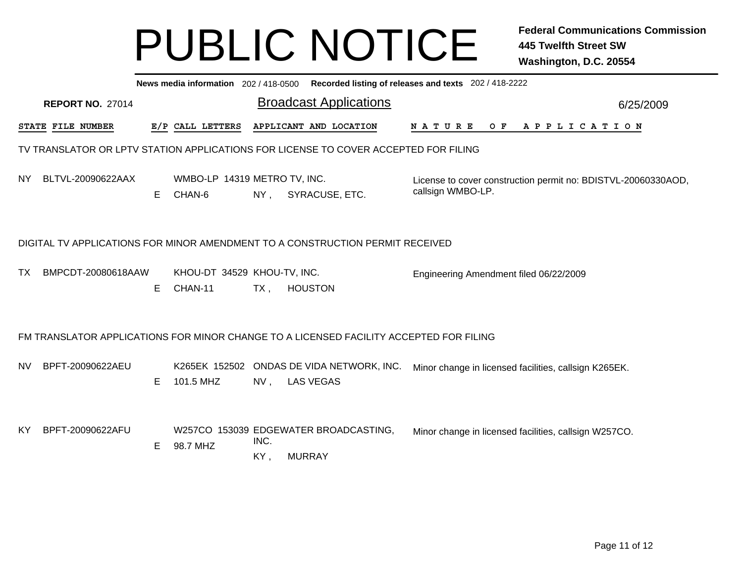|     |                         |    |                                        |             | News media information 202 / 418-0500 Recorded listing of releases and texts 202 / 418-2222 |                                                       |  |     |  |  |  |                                                               |
|-----|-------------------------|----|----------------------------------------|-------------|---------------------------------------------------------------------------------------------|-------------------------------------------------------|--|-----|--|--|--|---------------------------------------------------------------|
|     | <b>REPORT NO. 27014</b> |    |                                        |             | <b>Broadcast Applications</b>                                                               |                                                       |  |     |  |  |  | 6/25/2009                                                     |
|     | STATE FILE NUMBER       |    | E/P CALL LETTERS                       |             | APPLICANT AND LOCATION                                                                      | N A T U R E                                           |  | O F |  |  |  | A P P L I C A T I O N                                         |
|     |                         |    |                                        |             | TV TRANSLATOR OR LPTV STATION APPLICATIONS FOR LICENSE TO COVER ACCEPTED FOR FILING         |                                                       |  |     |  |  |  |                                                               |
| NY. | BLTVL-20090622AAX       | Е  | WMBO-LP 14319 METRO TV, INC.<br>CHAN-6 | $NY$ ,      | SYRACUSE, ETC.                                                                              | callsign WMBO-LP.                                     |  |     |  |  |  | License to cover construction permit no: BDISTVL-20060330AOD, |
|     |                         |    |                                        |             | DIGITAL TV APPLICATIONS FOR MINOR AMENDMENT TO A CONSTRUCTION PERMIT RECEIVED               |                                                       |  |     |  |  |  |                                                               |
| TX. | BMPCDT-20080618AAW      | Е  | KHOU-DT 34529 KHOU-TV, INC.<br>CHAN-11 | $TX$ ,      | <b>HOUSTON</b>                                                                              | Engineering Amendment filed 06/22/2009                |  |     |  |  |  |                                                               |
|     |                         |    |                                        |             | FM TRANSLATOR APPLICATIONS FOR MINOR CHANGE TO A LICENSED FACILITY ACCEPTED FOR FILING      |                                                       |  |     |  |  |  |                                                               |
| NV. | BPFT-20090622AEU        | E. | 101.5 MHZ                              | NV,         | K265EK 152502 ONDAS DE VIDA NETWORK, INC.<br><b>LAS VEGAS</b>                               | Minor change in licensed facilities, callsign K265EK. |  |     |  |  |  |                                                               |
| KY. | BPFT-20090622AFU        | Е  | 98.7 MHZ                               | INC.<br>KY, | W257CO 153039 EDGEWATER BROADCASTING,<br><b>MURRAY</b>                                      | Minor change in licensed facilities, callsign W257CO. |  |     |  |  |  |                                                               |